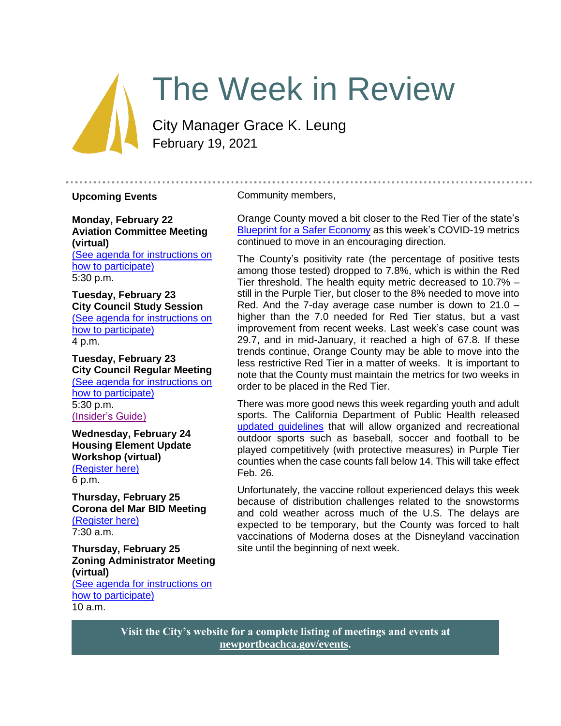# The Week in Review

City Manager Grace K. Leung February 19, 2021

#### **Upcoming Events**

**Monday, February 22 Aviation Committee Meeting (virtual)** [\(See agenda for instructions on](https://newportbeachca.gov/Home/Components/Calendar/Event/66018/72)  [how to participate\)](https://newportbeachca.gov/Home/Components/Calendar/Event/66018/72) 5:30 p.m.

**Tuesday, February 23 City Council Study Session** [\(See agenda for instructions on](https://newportbeachca.gov/Home/Components/Calendar/Event/64231/72)  [how to participate\)](https://newportbeachca.gov/Home/Components/Calendar/Event/64231/72) 4 p.m.

**Tuesday, February 23 City Council Regular Meeting** [\(See agenda for instructions on](https://newportbeachca.gov/Home/Components/Calendar/Event/64231/72)  [how to participate\)](https://newportbeachca.gov/Home/Components/Calendar/Event/64231/72) 5:30 p.m. [\(Insider's Guide\)](#page-2-0)

**Wednesday, February 24 Housing Element Update Workshop (virtual)** [\(Register here\)](https://zoom.us/meeting/register/tJ0rduuhrDsvGNaYDvAdGDJGDI3re9uPiQPA) 6 p.m.

**Thursday, February 25 Corona del Mar BID Meeting** [\(Register here\)](https://zoom.us/webinar/register/WN__f0MnHc7Tw6nY-0GkvMmHA) 7:30 a.m.

**Thursday, February 25 Zoning Administrator Meeting (virtual)** [\(See agenda for instructions on](https://www.newportbeachca.gov/government/departments/community-development/planning-division/zoning-administrator)  [how to participate\)](https://www.newportbeachca.gov/government/departments/community-development/planning-division/zoning-administrator) 10 a.m.

#### Community members,

Orange County moved a bit closer to the Red Tier of the state's [Blueprint for a Safer Economy](https://covid19.ca.gov/safer-economy/#county-status) as this week's COVID-19 metrics continued to move in an encouraging direction.

The County's positivity rate (the percentage of positive tests among those tested) dropped to 7.8%, which is within the Red Tier threshold. The health equity metric decreased to 10.7% – still in the Purple Tier, but closer to the 8% needed to move into Red. And the 7-day average case number is down to 21.0 – higher than the 7.0 needed for Red Tier status, but a vast improvement from recent weeks. Last week's case count was 29.7, and in mid-January, it reached a high of 67.8. If these trends continue, Orange County may be able to move into the less restrictive Red Tier in a matter of weeks. It is important to note that the County must maintain the metrics for two weeks in order to be placed in the Red Tier.

There was more good news this week regarding youth and adult sports. The California Department of Public Health released [updated guidelines](https://www.cdph.ca.gov/Programs/CID/DCDC/Pages/COVID-19/outdoor-indoor-recreational-sports.aspx) that will allow organized and recreational outdoor sports such as baseball, soccer and football to be played competitively (with protective measures) in Purple Tier counties when the case counts fall below 14. This will take effect Feb. 26.

Unfortunately, the vaccine rollout experienced delays this week because of distribution challenges related to the snowstorms and cold weather across much of the U.S. The delays are expected to be temporary, but the County was forced to halt vaccinations of Moderna doses at the Disneyland vaccination site until the beginning of next week.

**Visit the City's website for a complete listing of meetings and events at [newportbeachca.gov/events.](https://www.newportbeachca.gov/government/data-hub/city-calendar)**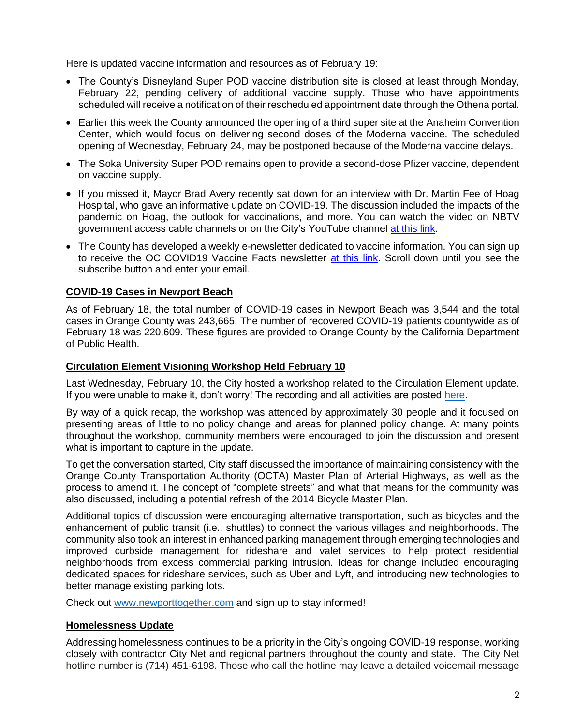Here is updated vaccine information and resources as of February 19:

- The County's Disneyland Super POD vaccine distribution site is closed at least through Monday, February 22, pending delivery of additional vaccine supply. Those who have appointments scheduled will receive a notification of their rescheduled appointment date through the Othena portal.
- Earlier this week the County announced the opening of a third super site at the Anaheim Convention Center, which would focus on delivering second doses of the Moderna vaccine. The scheduled opening of Wednesday, February 24, may be postponed because of the Moderna vaccine delays.
- The Soka University Super POD remains open to provide a second-dose Pfizer vaccine, dependent on vaccine supply.
- If you missed it, Mayor Brad Avery recently sat down for an interview with Dr. Martin Fee of Hoag Hospital, who gave an informative update on COVID-19. The discussion included the impacts of the pandemic on Hoag, the outlook for vaccinations, and more. You can watch the video on NBTV government access cable channels or on the City's YouTube channel [at this link.](https://www.youtube.com/watch?v=0NYYcixtX4I&t=11s)
- The County has developed a weekly e-newsletter dedicated to vaccine information. You can sign up to receive the OC COVID19 Vaccine Facts newsletter [at this link.](https://occovid19.ochealthinfo.com/covid-19-vaccine-resources) Scroll down until you see the subscribe button and enter your email.

### **COVID-19 Cases in Newport Beach**

As of February 18, the total number of COVID-19 cases in Newport Beach was 3,544 and the total cases in Orange County was 243,665. The number of recovered COVID-19 patients countywide as of February 18 was 220,609. These figures are provided to Orange County by the California Department of Public Health.

#### **Circulation Element Visioning Workshop Held February 10**

Last Wednesday, February 10, the City hosted a workshop related to the Circulation Element update. If you were unable to make it, don't worry! The recording and all activities are posted [here.](https://www.newporttogether.com/circulation-element-themes1)

By way of a quick recap, the workshop was attended by approximately 30 people and it focused on presenting areas of little to no policy change and areas for planned policy change. At many points throughout the workshop, community members were encouraged to join the discussion and present what is important to capture in the update.

To get the conversation started, City staff discussed the importance of maintaining consistency with the Orange County Transportation Authority (OCTA) Master Plan of Arterial Highways, as well as the process to amend it. The concept of "complete streets" and what that means for the community was also discussed, including a potential refresh of the 2014 Bicycle Master Plan.

Additional topics of discussion were encouraging alternative transportation, such as bicycles and the enhancement of public transit (i.e., shuttles) to connect the various villages and neighborhoods. The community also took an interest in enhanced parking management through emerging technologies and improved curbside management for rideshare and valet services to help protect residential neighborhoods from excess commercial parking intrusion. Ideas for change included encouraging dedicated spaces for rideshare services, such as Uber and Lyft, and introducing new technologies to better manage existing parking lots.

Check out [www.newporttogether.com](http://www.newporttogether.com/) and sign up to stay informed!

#### **Homelessness Update**

Addressing homelessness continues to be a priority in the City's ongoing COVID-19 response, working closely with contractor City Net and regional partners throughout the county and state. The City Net hotline number is (714) 451-6198. Those who call the hotline may leave a detailed voicemail message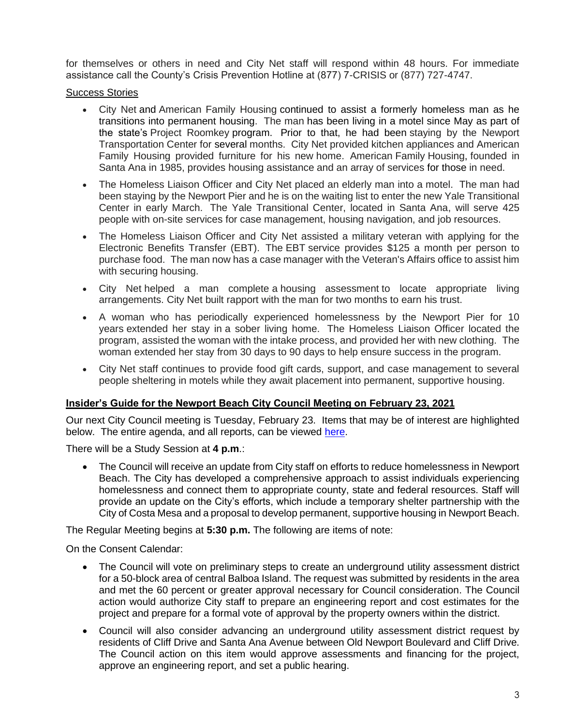for themselves or others in need and City Net staff will respond within 48 hours. For immediate assistance call the County's Crisis Prevention Hotline at (877) 7-CRISIS or (877) 727-4747.

#### Success Stories

- City Net and American Family Housing continued to assist a formerly homeless man as he transitions into permanent housing. The man has been living in a motel since May as part of the state's Project Roomkey program. Prior to that, he had been staying by the Newport Transportation Center for several months. City Net provided kitchen appliances and American Family Housing provided furniture for his new home. American Family Housing, founded in Santa Ana in 1985, provides housing assistance and an array of services for those in need.
- The Homeless Liaison Officer and City Net placed an elderly man into a motel. The man had been staying by the Newport Pier and he is on the waiting list to enter the new Yale Transitional Center in early March. The Yale Transitional Center, located in Santa Ana, will serve 425 people with on-site services for case management, housing navigation, and job resources.
- The Homeless Liaison Officer and City Net assisted a military veteran with applying for the Electronic Benefits Transfer (EBT). The EBT service provides \$125 a month per person to purchase food. The man now has a case manager with the Veteran's Affairs office to assist him with securing housing.
- City Net helped a man complete a housing assessment to locate appropriate living arrangements. City Net built rapport with the man for two months to earn his trust.
- A woman who has periodically experienced homelessness by the Newport Pier for 10 years extended her stay in a sober living home. The Homeless Liaison Officer located the program, assisted the woman with the intake process, and provided her with new clothing. The woman extended her stay from 30 days to 90 days to help ensure success in the program.
- City Net staff continues to provide food gift cards, support, and case management to several people sheltering in motels while they await placement into permanent, supportive housing.

## <span id="page-2-0"></span>**Insider's Guide for the Newport Beach City Council Meeting on February 23, 2021**

Our next City Council meeting is Tuesday, February 23. Items that may be of interest are highlighted below. The entire agenda, and all reports, can be viewed [here.](https://newportbeachca.gov/Home/Components/Calendar/Event/64231/72)

There will be a Study Session at **4 p.m**.:

• The Council will receive an update from City staff on efforts to reduce homelessness in Newport Beach. The City has developed a comprehensive approach to assist individuals experiencing homelessness and connect them to appropriate county, state and federal resources. Staff will provide an update on the City's efforts, which include a temporary shelter partnership with the City of Costa Mesa and a proposal to develop permanent, supportive housing in Newport Beach.

The Regular Meeting begins at **5:30 p.m.** The following are items of note:

On the Consent Calendar:

- The Council will vote on preliminary steps to create an underground utility assessment district for a 50-block area of central Balboa Island. The request was submitted by residents in the area and met the 60 percent or greater approval necessary for Council consideration. The Council action would authorize City staff to prepare an engineering report and cost estimates for the project and prepare for a formal vote of approval by the property owners within the district.
- Council will also consider advancing an underground utility assessment district request by residents of Cliff Drive and Santa Ana Avenue between Old Newport Boulevard and Cliff Drive. The Council action on this item would approve assessments and financing for the project, approve an engineering report, and set a public hearing.